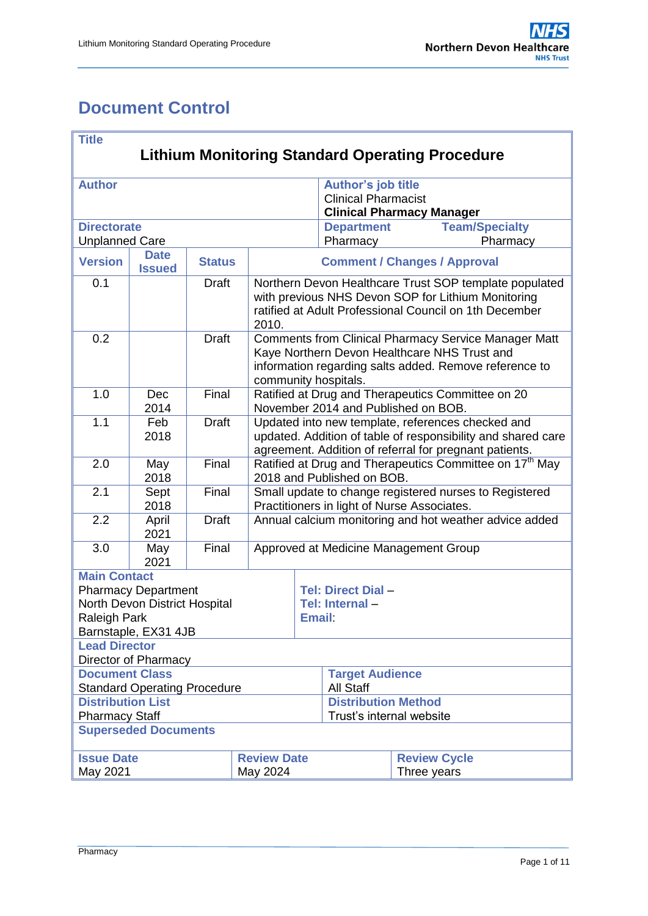# <span id="page-0-0"></span>**Document Control**

| <b>Title</b>                                                                                       |                              |               |       |                                                                                                                                                                                               |                                                                                      |                       |  |
|----------------------------------------------------------------------------------------------------|------------------------------|---------------|-------|-----------------------------------------------------------------------------------------------------------------------------------------------------------------------------------------------|--------------------------------------------------------------------------------------|-----------------------|--|
| <b>Lithium Monitoring Standard Operating Procedure</b>                                             |                              |               |       |                                                                                                                                                                                               |                                                                                      |                       |  |
| <b>Author</b>                                                                                      |                              |               |       |                                                                                                                                                                                               | Author's job title<br><b>Clinical Pharmacist</b><br><b>Clinical Pharmacy Manager</b> |                       |  |
| <b>Directorate</b>                                                                                 |                              |               |       |                                                                                                                                                                                               | <b>Department</b>                                                                    | <b>Team/Specialty</b> |  |
| <b>Unplanned Care</b>                                                                              |                              |               |       |                                                                                                                                                                                               | Pharmacy                                                                             | Pharmacy              |  |
| <b>Version</b>                                                                                     | <b>Date</b><br><b>Issued</b> | <b>Status</b> |       | <b>Comment / Changes / Approval</b>                                                                                                                                                           |                                                                                      |                       |  |
| 0.1                                                                                                |                              | <b>Draft</b>  | 2010. | Northern Devon Healthcare Trust SOP template populated<br>with previous NHS Devon SOP for Lithium Monitoring<br>ratified at Adult Professional Council on 1th December                        |                                                                                      |                       |  |
| 0.2                                                                                                |                              | <b>Draft</b>  |       | <b>Comments from Clinical Pharmacy Service Manager Matt</b><br>Kaye Northern Devon Healthcare NHS Trust and<br>information regarding salts added. Remove reference to<br>community hospitals. |                                                                                      |                       |  |
| 1.0                                                                                                | Dec<br>2014                  | Final         |       | Ratified at Drug and Therapeutics Committee on 20<br>November 2014 and Published on BOB.                                                                                                      |                                                                                      |                       |  |
| 1.1                                                                                                | Feb<br>2018                  | <b>Draft</b>  |       | Updated into new template, references checked and<br>updated. Addition of table of responsibility and shared care<br>agreement. Addition of referral for pregnant patients.                   |                                                                                      |                       |  |
| 2.0                                                                                                | May<br>2018                  | Final         |       | Ratified at Drug and Therapeutics Committee on 17 <sup>th</sup> May<br>2018 and Published on BOB.                                                                                             |                                                                                      |                       |  |
| 2.1                                                                                                | Sept<br>2018                 | Final         |       | Small update to change registered nurses to Registered<br>Practitioners in light of Nurse Associates.                                                                                         |                                                                                      |                       |  |
| 2.2                                                                                                | April<br>2021                | <b>Draft</b>  |       | Annual calcium monitoring and hot weather advice added                                                                                                                                        |                                                                                      |                       |  |
| 3.0                                                                                                | May<br>2021                  | Final         |       | Approved at Medicine Management Group                                                                                                                                                         |                                                                                      |                       |  |
| <b>Main Contact</b><br><b>Pharmacy Department</b><br>North Devon District Hospital<br>Raleigh Park |                              |               |       | <b>Tel: Direct Dial -</b><br>Tel: Internal-<br><b>Email</b>                                                                                                                                   |                                                                                      |                       |  |
| Barnstaple, EX31 4JB<br><b>Lead Director</b>                                                       |                              |               |       |                                                                                                                                                                                               |                                                                                      |                       |  |
| Director of Pharmacy<br><b>Document Class</b>                                                      |                              |               |       |                                                                                                                                                                                               |                                                                                      |                       |  |
| <b>Standard Operating Procedure</b>                                                                |                              |               |       |                                                                                                                                                                                               | <b>Target Audience</b><br>All Staff                                                  |                       |  |
| <b>Distribution List</b>                                                                           |                              |               |       |                                                                                                                                                                                               | <b>Distribution Method</b>                                                           |                       |  |
| <b>Pharmacy Staff</b>                                                                              |                              |               |       | Trust's internal website                                                                                                                                                                      |                                                                                      |                       |  |
| <b>Superseded Documents</b>                                                                        |                              |               |       |                                                                                                                                                                                               |                                                                                      |                       |  |
| <b>Issue Date</b><br><b>Review Date</b>                                                            |                              |               |       |                                                                                                                                                                                               | <b>Review Cycle</b>                                                                  |                       |  |
| May 2021<br>May 2024                                                                               |                              |               |       |                                                                                                                                                                                               | Three years                                                                          |                       |  |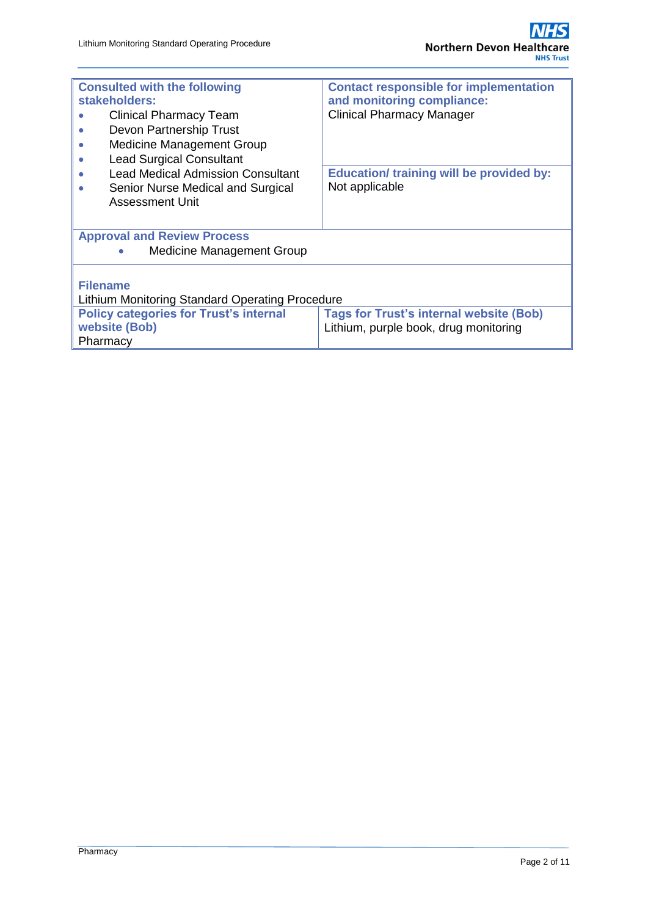| <b>Consulted with the following</b><br>stakeholders:<br><b>Clinical Pharmacy Team</b><br>Devon Partnership Trust<br><b>Medicine Management Group</b><br><b>Lead Surgical Consultant</b><br>$\bullet$<br><b>Lead Medical Admission Consultant</b><br>$\bullet$<br>Senior Nurse Medical and Surgical<br>Assessment Unit | <b>Contact responsible for implementation</b><br>and monitoring compliance:<br><b>Clinical Pharmacy Manager</b><br><b>Education/ training will be provided by:</b><br>Not applicable |  |  |  |  |
|-----------------------------------------------------------------------------------------------------------------------------------------------------------------------------------------------------------------------------------------------------------------------------------------------------------------------|--------------------------------------------------------------------------------------------------------------------------------------------------------------------------------------|--|--|--|--|
| <b>Approval and Review Process</b>                                                                                                                                                                                                                                                                                    |                                                                                                                                                                                      |  |  |  |  |
| <b>Medicine Management Group</b><br>$\bullet$                                                                                                                                                                                                                                                                         |                                                                                                                                                                                      |  |  |  |  |
| <b>Filename</b><br>Lithium Monitoring Standard Operating Procedure                                                                                                                                                                                                                                                    |                                                                                                                                                                                      |  |  |  |  |
| <b>Policy categories for Trust's internal</b><br>website (Bob)<br>Pharmacy                                                                                                                                                                                                                                            | <b>Tags for Trust's internal website (Bob)</b><br>Lithium, purple book, drug monitoring                                                                                              |  |  |  |  |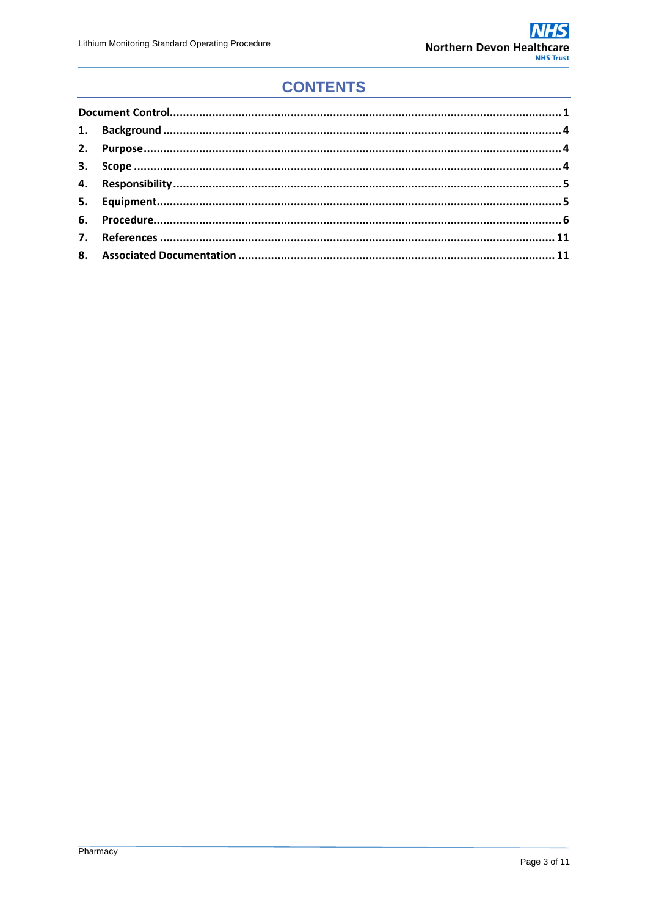# **CONTENTS**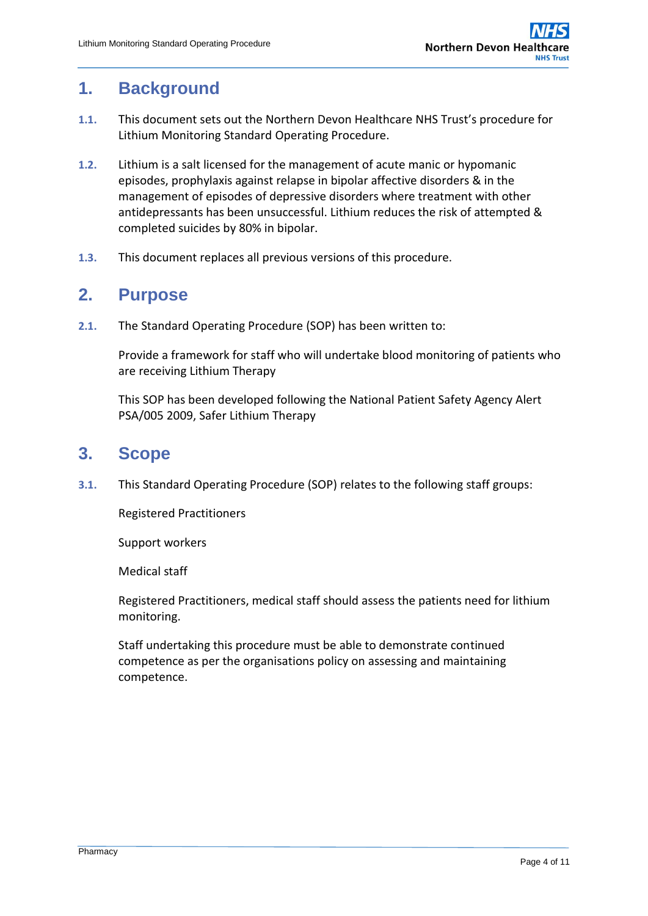## <span id="page-3-0"></span>**1. Background**

- **1.1.** This document sets out the Northern Devon Healthcare NHS Trust's procedure for Lithium Monitoring Standard Operating Procedure.
- **1.2.** Lithium is a salt licensed for the management of acute manic or hypomanic episodes, prophylaxis against relapse in bipolar affective disorders & in the management of episodes of depressive disorders where treatment with other antidepressants has been unsuccessful. Lithium reduces the risk of attempted & completed suicides by 80% in bipolar.
- **1.3.** This document replaces all previous versions of this procedure.

## <span id="page-3-1"></span>**2. Purpose**

**2.1.** The Standard Operating Procedure (SOP) has been written to:

Provide a framework for staff who will undertake blood monitoring of patients who are receiving Lithium Therapy

This SOP has been developed following the National Patient Safety Agency Alert PSA/005 2009, Safer Lithium Therapy

## <span id="page-3-2"></span>**3. Scope**

**3.1.** This Standard Operating Procedure (SOP) relates to the following staff groups:

Registered Practitioners

Support workers

Medical staff

Registered Practitioners, medical staff should assess the patients need for lithium monitoring.

Staff undertaking this procedure must be able to demonstrate continued competence as per the organisations policy on assessing and maintaining competence.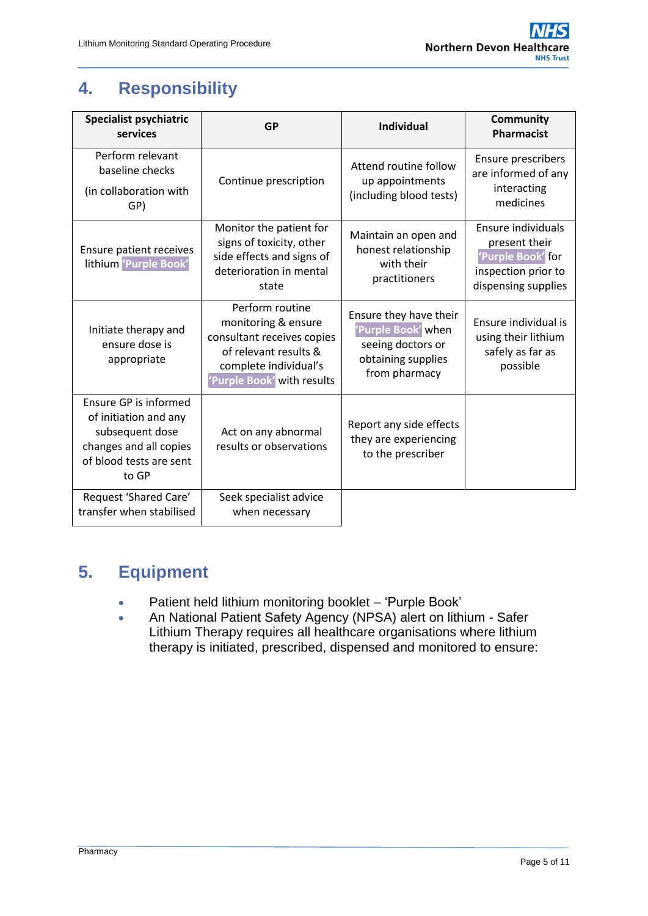# <span id="page-4-0"></span>**4. Responsibility**

| <b>Specialist psychiatric</b><br>services                                                                                       | <b>GP</b>                                                                                                                                            | <b>Individual</b>                                                                                        | <b>Community</b><br><b>Pharmacist</b>                                                                  |
|---------------------------------------------------------------------------------------------------------------------------------|------------------------------------------------------------------------------------------------------------------------------------------------------|----------------------------------------------------------------------------------------------------------|--------------------------------------------------------------------------------------------------------|
| Perform relevant<br>baseline checks<br>(in collaboration with<br>GP)                                                            | Continue prescription                                                                                                                                | Attend routine follow<br>up appointments<br>(including blood tests)                                      | <b>Ensure prescribers</b><br>are informed of any<br>interacting<br>medicines                           |
| <b>Ensure patient receives</b><br>lithium 'Purple Book'                                                                         | Monitor the patient for<br>signs of toxicity, other<br>side effects and signs of<br>deterioration in mental<br>state                                 | Maintain an open and<br>honest relationship<br>with their<br>practitioners                               | Ensure individuals<br>present their<br>'Purple Book' for<br>inspection prior to<br>dispensing supplies |
| Initiate therapy and<br>ensure dose is<br>appropriate                                                                           | Perform routine<br>monitoring & ensure<br>consultant receives copies<br>of relevant results &<br>complete individual's<br>'Purple Book' with results | Ensure they have their<br>'Purple Book' when<br>seeing doctors or<br>obtaining supplies<br>from pharmacy | Ensure individual is<br>using their lithium<br>safely as far as<br>possible                            |
| Ensure GP is informed<br>of initiation and any<br>subsequent dose<br>changes and all copies<br>of blood tests are sent<br>to GP | Act on any abnormal<br>results or observations                                                                                                       | Report any side effects<br>they are experiencing<br>to the prescriber                                    |                                                                                                        |
| Request 'Shared Care'<br>transfer when stabilised                                                                               | Seek specialist advice<br>when necessary                                                                                                             |                                                                                                          |                                                                                                        |

# <span id="page-4-1"></span>**5. Equipment**

- Patient held lithium monitoring booklet 'Purple Book'
- An National Patient Safety Agency (NPSA) alert on lithium Safer Lithium Therapy requires all healthcare organisations where lithium therapy is initiated, prescribed, dispensed and monitored to ensure: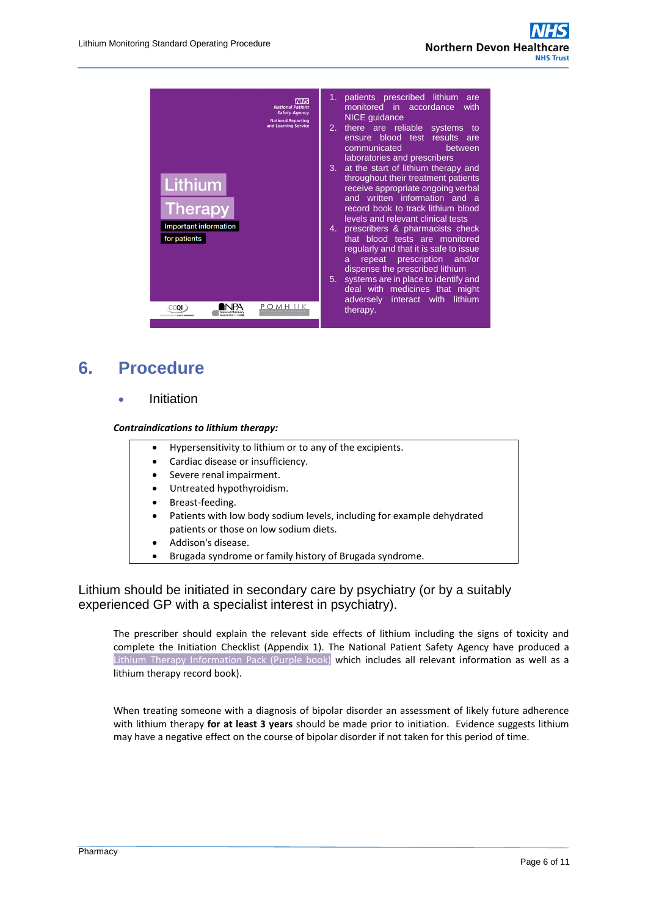

# <span id="page-5-0"></span>**6. Procedure**

Initiation

#### *Contraindications to lithium therapy:*

- Hypersensitivity to lithium or to any of the excipients.
- Cardiac disease or insufficiency.
- Severe renal impairment.
- Untreated hypothyroidism.
- Breast-feeding.
- Patients with low body sodium levels, including for example dehydrated patients or those on low sodium diets.
- Addison's disease.
- Brugada syndrome or family history of Brugada syndrome.

### Lithium should be initiated in secondary care by psychiatry (or by a suitably experienced GP with a specialist interest in psychiatry).

The prescriber should explain the relevant side effects of lithium including the signs of toxicity and complete the Initiation Checklist (Appendix 1). The National Patient Safety Agency have produced a Lithium Therapy Information Pack (Purple book) which includes all relevant information as well as a lithium therapy record book).

When treating someone with a diagnosis of bipolar disorder an assessment of likely future adherence with lithium therapy **for at least 3 years** should be made prior to initiation. Evidence suggests lithium may have a negative effect on the course of bipolar disorder if not taken for this period of time.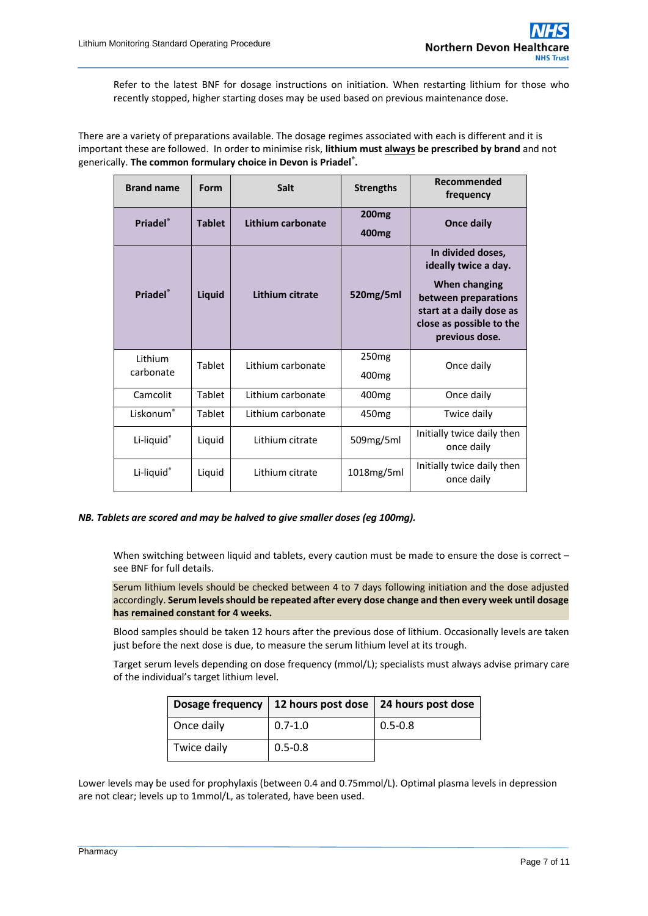Refer to the latest BNF for dosage instructions on initiation. When restarting lithium for those who recently stopped, higher starting doses may be used based on previous maintenance dose.

There are a variety of preparations available. The dosage regimes associated with each is different and it is important these are followed. In order to minimise risk, **lithium must always be prescribed by brand** and not generically. **The common formulary choice in Devon is Priadel® .**

| <b>Brand name</b>    | Form          | <b>Salt</b>       | <b>Strengths</b>                       | Recommended<br>frequency                                                                                                                                     |
|----------------------|---------------|-------------------|----------------------------------------|--------------------------------------------------------------------------------------------------------------------------------------------------------------|
| Priadel®             | <b>Tablet</b> | Lithium carbonate | <b>200mg</b><br>400 <sub>mg</sub>      | Once daily                                                                                                                                                   |
| Priadel®             | Liquid        | Lithium citrate   | 520mg/5ml                              | In divided doses,<br>ideally twice a day.<br>When changing<br>between preparations<br>start at a daily dose as<br>close as possible to the<br>previous dose. |
| Lithium<br>carbonate | Tablet        | Lithium carbonate | 250 <sub>mg</sub><br>400 <sub>mg</sub> | Once daily                                                                                                                                                   |
| Camcolit             | Tablet        | Lithium carbonate | 400 <sub>mg</sub>                      | Once daily                                                                                                                                                   |
| Liskonum®            | Tablet        | Lithium carbonate | 450 <sub>mg</sub>                      | Twice daily                                                                                                                                                  |
| Li-liquid®           | Liquid        | Lithium citrate   | 509mg/5ml                              | Initially twice daily then<br>once daily                                                                                                                     |
| Li-liquid®           | Liquid        | Lithium citrate   | 1018mg/5ml                             | Initially twice daily then<br>once daily                                                                                                                     |

#### *NB. Tablets are scored and may be halved to give smaller doses (eg 100mg).*

When switching between liquid and tablets, every caution must be made to ensure the dose is correct – see BNF for full details.

Serum lithium levels should be checked between 4 to 7 days following initiation and the dose adjusted accordingly. **Serum levels should be repeated after every dose change and then every week until dosage has remained constant for 4 weeks.**

Blood samples should be taken 12 hours after the previous dose of lithium. Occasionally levels are taken just before the next dose is due, to measure the serum lithium level at its trough.

Target serum levels depending on dose frequency (mmol/L); specialists must always advise primary care of the individual's target lithium level.

| <b>Dosage frequency</b> | 12 hours post dose   24 hours post dose |             |
|-------------------------|-----------------------------------------|-------------|
| Once daily              | $0.7 - 1.0$                             | $0.5 - 0.8$ |
| Twice daily             | $0.5 - 0.8$                             |             |

Lower levels may be used for prophylaxis (between 0.4 and 0.75mmol/L). Optimal plasma levels in depression are not clear; levels up to 1mmol/L, as tolerated, have been used.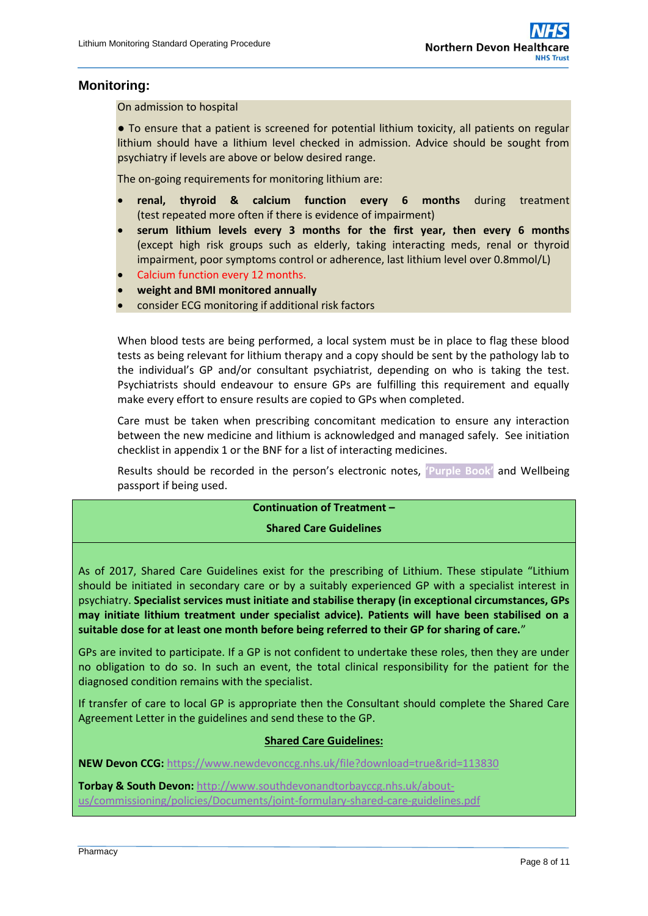## **Monitoring:**

On admission to hospital

● To ensure that a patient is screened for potential lithium toxicity, all patients on regular lithium should have a lithium level checked in admission. Advice should be sought from psychiatry if levels are above or below desired range.

The on-going requirements for monitoring lithium are:

- **renal, thyroid & calcium function every 6 months** during treatment (test repeated more often if there is evidence of impairment)
- **serum lithium levels every 3 months for the first year, then every 6 months** (except high risk groups such as elderly, taking interacting meds, renal or thyroid impairment, poor symptoms control or adherence, last lithium level over 0.8mmol/L)
- Calcium function every 12 months.
- **weight and BMI monitored annually**
- consider ECG monitoring if additional risk factors

When blood tests are being performed, a local system must be in place to flag these blood tests as being relevant for lithium therapy and a copy should be sent by the pathology lab to the individual's GP and/or consultant psychiatrist, depending on who is taking the test. Psychiatrists should endeavour to ensure GPs are fulfilling this requirement and equally make every effort to ensure results are copied to GPs when completed.

Care must be taken when prescribing concomitant medication to ensure any interaction between the new medicine and lithium is acknowledged and managed safely. See initiation checklist in appendix 1 or the BNF for a list of interacting medicines.

Results should be recorded in the person's electronic notes, **'Purple Book'** and Wellbeing passport if being used.

### **Continuation of Treatment –**

#### **Shared Care Guidelines**

As of 2017, Shared Care Guidelines exist for the prescribing of Lithium. These stipulate "Lithium should be initiated in secondary care or by a suitably experienced GP with a specialist interest in psychiatry. **Specialist services must initiate and stabilise therapy (in exceptional circumstances, GPs may initiate lithium treatment under specialist advice). Patients will have been stabilised on a suitable dose for at least one month before being referred to their GP for sharing of care.**"

GPs are invited to participate. If a GP is not confident to undertake these roles, then they are under no obligation to do so. In such an event, the total clinical responsibility for the patient for the diagnosed condition remains with the specialist.

If transfer of care to local GP is appropriate then the Consultant should complete the Shared Care Agreement Letter in the guidelines and send these to the GP.

#### **Shared Care Guidelines:**

**NEW Devon CCG:** <https://www.newdevonccg.nhs.uk/file?download=true&rid=113830>

**Torbay & South Devon:** [http://www.southdevonandtorbayccg.nhs.uk/about](http://www.southdevonandtorbayccg.nhs.uk/about-us/commissioning/policies/Documents/joint-formulary-shared-care-guidelines.pdf)[us/commissioning/policies/Documents/joint-formulary-shared-care-guidelines.pdf](http://www.southdevonandtorbayccg.nhs.uk/about-us/commissioning/policies/Documents/joint-formulary-shared-care-guidelines.pdf)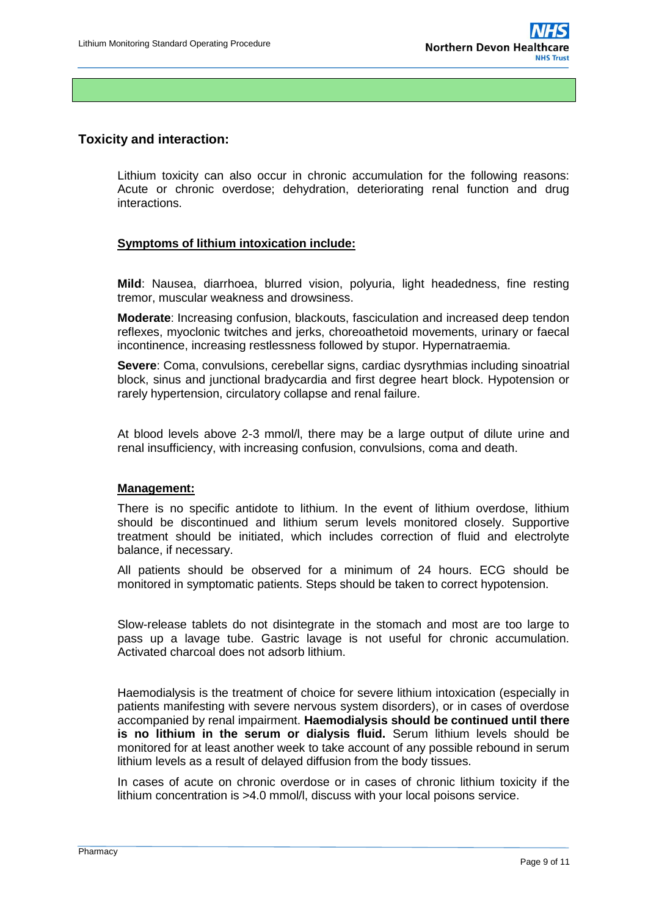## **Toxicity and interaction:**

Lithium toxicity can also occur in chronic accumulation for the following reasons: Acute or chronic overdose; dehydration, deteriorating renal function and drug interactions.

### **Symptoms of lithium intoxication include:**

**Mild**: Nausea, diarrhoea, blurred vision, polyuria, light headedness, fine resting tremor, muscular weakness and drowsiness.

**Moderate**: Increasing confusion, blackouts, fasciculation and increased deep tendon reflexes, myoclonic twitches and jerks, choreoathetoid movements, urinary or faecal incontinence, increasing restlessness followed by stupor. Hypernatraemia.

**Severe**: Coma, convulsions, cerebellar signs, cardiac dysrythmias including sinoatrial block, sinus and junctional bradycardia and first degree heart block. Hypotension or rarely hypertension, circulatory collapse and renal failure.

At blood levels above 2-3 mmol/l, there may be a large output of dilute urine and renal insufficiency, with increasing confusion, convulsions, coma and death.

#### **Management:**

There is no specific antidote to lithium. In the event of lithium overdose, lithium should be discontinued and lithium serum levels monitored closely. Supportive treatment should be initiated, which includes correction of fluid and electrolyte balance, if necessary.

All patients should be observed for a minimum of 24 hours. ECG should be monitored in symptomatic patients. Steps should be taken to correct hypotension.

Slow-release tablets do not disintegrate in the stomach and most are too large to pass up a lavage tube. Gastric lavage is not useful for chronic accumulation. Activated charcoal does not adsorb lithium.

Haemodialysis is the treatment of choice for severe lithium intoxication (especially in patients manifesting with severe nervous system disorders), or in cases of overdose accompanied by renal impairment. **Haemodialysis should be continued until there is no lithium in the serum or dialysis fluid.** Serum lithium levels should be monitored for at least another week to take account of any possible rebound in serum lithium levels as a result of delayed diffusion from the body tissues.

In cases of acute on chronic overdose or in cases of chronic lithium toxicity if the lithium concentration is >4.0 mmol/l, discuss with your local poisons service.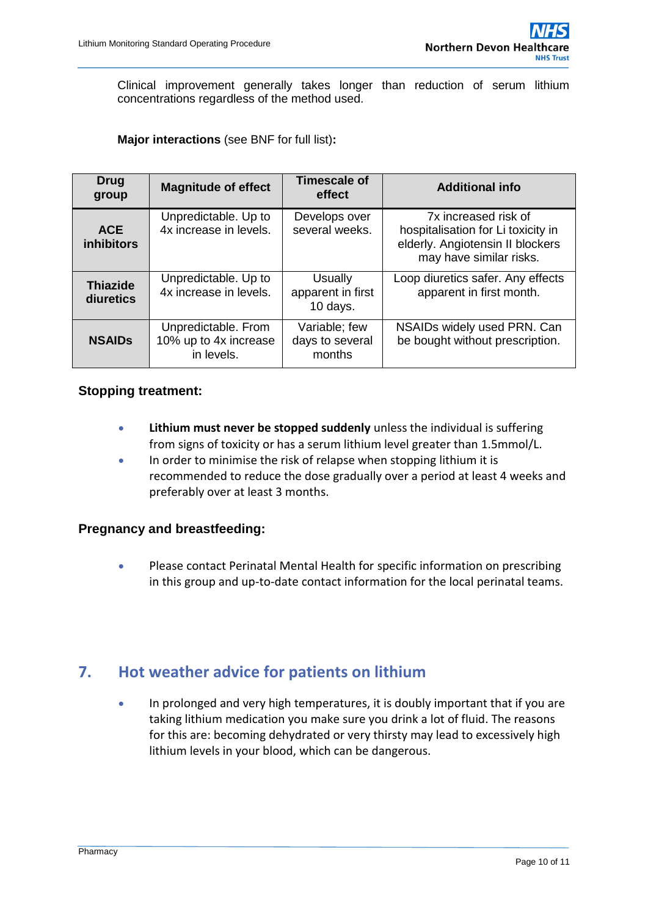Clinical improvement generally takes longer than reduction of serum lithium concentrations regardless of the method used.

### **Major interactions** (see BNF for full list)**:**

| <b>Drug</b><br>group            | <b>Magnitude of effect</b>                                 | <b>Timescale of</b><br>effect              | <b>Additional info</b>                                                                                                    |
|---------------------------------|------------------------------------------------------------|--------------------------------------------|---------------------------------------------------------------------------------------------------------------------------|
| <b>ACE</b><br><b>inhibitors</b> | Unpredictable. Up to<br>4x increase in levels.             | Develops over<br>several weeks.            | 7x increased risk of<br>hospitalisation for Li toxicity in<br>elderly. Angiotensin II blockers<br>may have similar risks. |
| <b>Thiazide</b><br>diuretics    | Unpredictable. Up to<br>4x increase in levels.             | Usually<br>apparent in first<br>10 days.   | Loop diuretics safer. Any effects<br>apparent in first month.                                                             |
| <b>NSAIDS</b>                   | Unpredictable. From<br>10% up to 4x increase<br>in levels. | Variable; few<br>days to several<br>months | NSAIDs widely used PRN. Can<br>be bought without prescription.                                                            |

### **Stopping treatment:**

- **Lithium must never be stopped suddenly** unless the individual is suffering from signs of toxicity or has a serum lithium level greater than 1.5mmol/L.
- In order to minimise the risk of relapse when stopping lithium it is recommended to reduce the dose gradually over a period at least 4 weeks and preferably over at least 3 months.

## **Pregnancy and breastfeeding:**

 Please contact Perinatal Mental Health for specific information on prescribing in this group and up-to-date contact information for the local perinatal teams.

## **7. Hot weather advice for patients on lithium**

 In prolonged and very high temperatures, it is doubly important that if you are taking lithium medication you make sure you drink a lot of fluid. The reasons for this are: becoming dehydrated or very thirsty may lead to excessively high lithium levels in your blood, which can be dangerous.